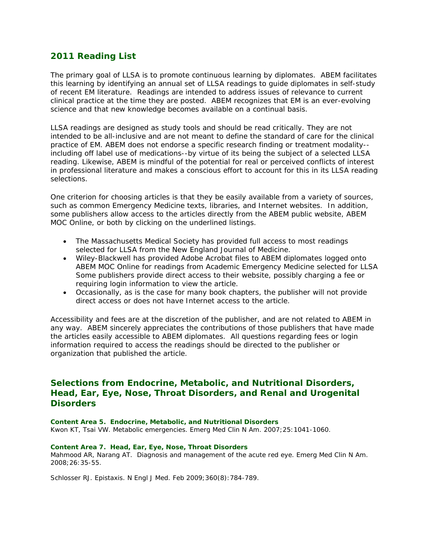# **2011 Reading List**

The primary goal of LLSA is to promote continuous learning by diplomates. ABEM facilitates this learning by identifying an annual set of LLSA readings to guide diplomates in self-study of recent EM literature. Readings are intended to address issues of relevance to current clinical practice at the time they are posted. ABEM recognizes that EM is an ever-evolving science and that new knowledge becomes available on a continual basis.

LLSA readings are designed as study tools and should be read critically. They are not intended to be all-inclusive and are not meant to define the standard of care for the clinical practice of EM. ABEM does not endorse a specific research finding or treatment modality- including off label use of medications--by virtue of its being the subject of a selected LLSA reading. Likewise, ABEM is mindful of the potential for real or perceived conflicts of interest in professional literature and makes a conscious effort to account for this in its LLSA reading selections.

One criterion for choosing articles is that they be easily available from a variety of sources, such as common Emergency Medicine texts, libraries, and Internet websites. In addition, some publishers allow access to the articles directly from the ABEM public website, ABEM MOC Online, or both by clicking on the underlined listings.

- The Massachusetts Medical Society has provided full access to most readings selected for LLSA from the *New England Journal of Medicine.*
- Wiley-Blackwell has provided Adobe Acrobat files to ABEM diplomates logged onto ABEM MOC Online for readings from *Academic Emergency Medicine* selected for LLSA Some publishers provide direct access to their website, possibly charging a fee or requiring login information to view the article.
- Occasionally, as is the case for many book chapters, the publisher will not provide direct access or does not have Internet access to the article.

Accessibility and fees are at the discretion of the publisher, and are not related to ABEM in any way. ABEM sincerely appreciates the contributions of those publishers that have made the articles easily accessible to ABEM diplomates. All questions regarding fees or login information required to access the readings should be directed to the publisher or organization that published the article.

# **Selections from Endocrine, Metabolic, and Nutritional Disorders, Head, Ear, Eye, Nose, Throat Disorders, and Renal and Urogenital Disorders**

## *Content Area 5. Endocrine, Metabolic, and Nutritional Disorders* Kwon KT, Tsai VW. Metabolic emergencies. *Emerg Med Clin N Am*. 2007;25:1041-1060.

## *Content Area 7. Head, Ear, Eye, Nose, Throat Disorders*

Mahmood AR, Narang AT. Diagnosis and management of the acute red eye. *Emerg Med Clin N Am*. 2008;26:35-55.

Schlosser RJ. Epistaxis. *N Engl J Med*. Feb 2009;360(8):784-789.